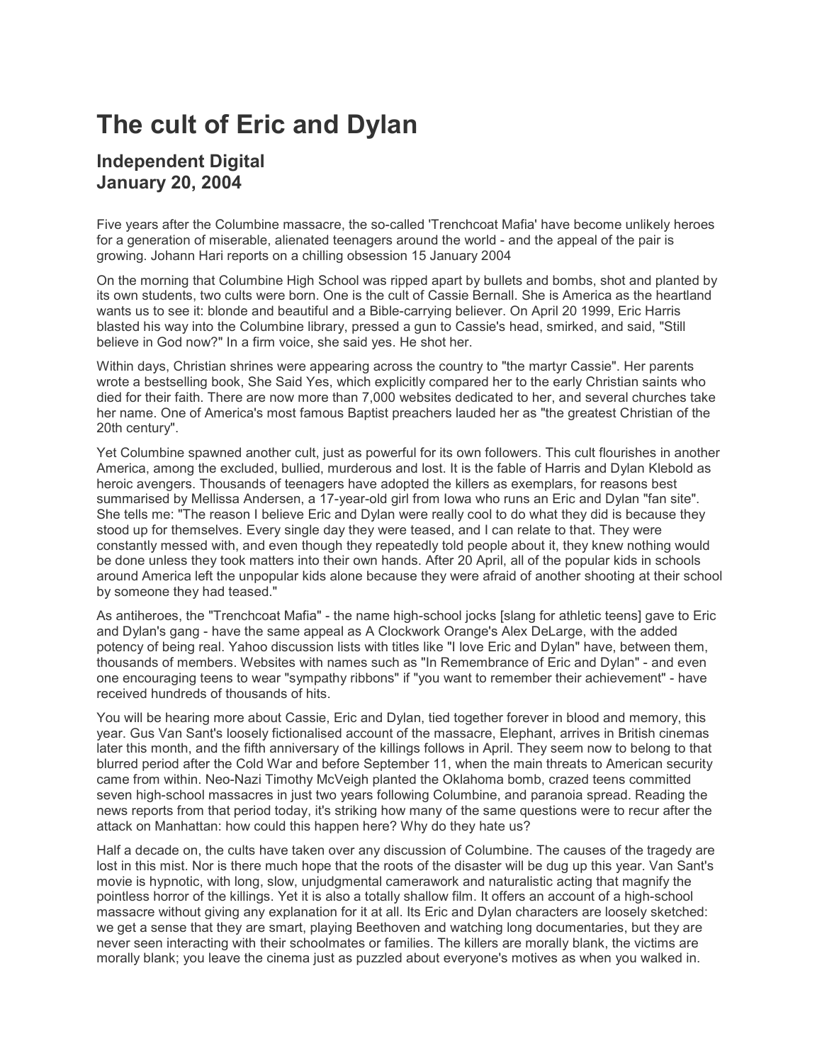## **The cult of Eric and Dylan**

## **Independent Digital January 20, 2004**

Five years after the Columbine massacre, the so-called 'Trenchcoat Mafia' have become unlikely heroes for a generation of miserable, alienated teenagers around the world - and the appeal of the pair is growing. Johann Hari reports on a chilling obsession 15 January 2004

On the morning that Columbine High School was ripped apart by bullets and bombs, shot and planted by its own students, two cults were born. One is the cult of Cassie Bernall. She is America as the heartland wants us to see it: blonde and beautiful and a Bible-carrying believer. On April 20 1999, Eric Harris blasted his way into the Columbine library, pressed a gun to Cassie's head, smirked, and said, "Still believe in God now?" In a firm voice, she said yes. He shot her.

Within days, Christian shrines were appearing across the country to "the martyr Cassie". Her parents wrote a bestselling book, She Said Yes, which explicitly compared her to the early Christian saints who died for their faith. There are now more than 7,000 websites dedicated to her, and several churches take her name. One of America's most famous Baptist preachers lauded her as "the greatest Christian of the 20th century".

Yet Columbine spawned another cult, just as powerful for its own followers. This cult flourishes in another America, among the excluded, bullied, murderous and lost. It is the fable of Harris and Dylan Klebold as heroic avengers. Thousands of teenagers have adopted the killers as exemplars, for reasons best summarised by Mellissa Andersen, a 17-year-old girl from Iowa who runs an Eric and Dylan "fan site". She tells me: "The reason I believe Eric and Dylan were really cool to do what they did is because they stood up for themselves. Every single day they were teased, and I can relate to that. They were constantly messed with, and even though they repeatedly told people about it, they knew nothing would be done unless they took matters into their own hands. After 20 April, all of the popular kids in schools around America left the unpopular kids alone because they were afraid of another shooting at their school by someone they had teased."

As antiheroes, the "Trenchcoat Mafia" - the name high-school jocks [slang for athletic teens] gave to Eric and Dylan's gang - have the same appeal as A Clockwork Orange's Alex DeLarge, with the added potency of being real. Yahoo discussion lists with titles like "I love Eric and Dylan" have, between them, thousands of members. Websites with names such as "In Remembrance of Eric and Dylan" - and even one encouraging teens to wear "sympathy ribbons" if "you want to remember their achievement" - have received hundreds of thousands of hits.

You will be hearing more about Cassie, Eric and Dylan, tied together forever in blood and memory, this year. Gus Van Sant's loosely fictionalised account of the massacre, Elephant, arrives in British cinemas later this month, and the fifth anniversary of the killings follows in April. They seem now to belong to that blurred period after the Cold War and before September 11, when the main threats to American security came from within. Neo-Nazi Timothy McVeigh planted the Oklahoma bomb, crazed teens committed seven high-school massacres in just two years following Columbine, and paranoia spread. Reading the news reports from that period today, it's striking how many of the same questions were to recur after the attack on Manhattan: how could this happen here? Why do they hate us?

Half a decade on, the cults have taken over any discussion of Columbine. The causes of the tragedy are lost in this mist. Nor is there much hope that the roots of the disaster will be dug up this year. Van Sant's movie is hypnotic, with long, slow, unjudgmental camerawork and naturalistic acting that magnify the pointless horror of the killings. Yet it is also a totally shallow film. It offers an account of a high-school massacre without giving any explanation for it at all. Its Eric and Dylan characters are loosely sketched: we get a sense that they are smart, playing Beethoven and watching long documentaries, but they are never seen interacting with their schoolmates or families. The killers are morally blank, the victims are morally blank; you leave the cinema just as puzzled about everyone's motives as when you walked in.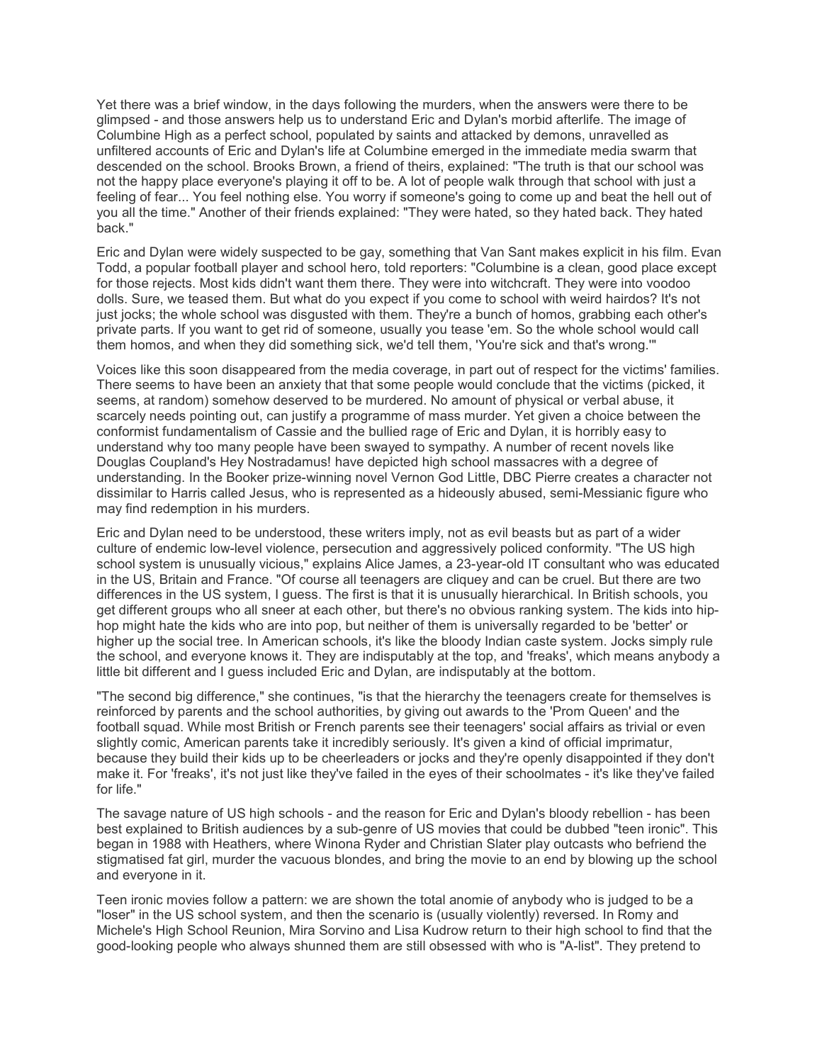Yet there was a brief window, in the days following the murders, when the answers were there to be glimpsed - and those answers help us to understand Eric and Dylan's morbid afterlife. The image of Columbine High as a perfect school, populated by saints and attacked by demons, unravelled as unfiltered accounts of Eric and Dylan's life at Columbine emerged in the immediate media swarm that descended on the school. Brooks Brown, a friend of theirs, explained: "The truth is that our school was not the happy place everyone's playing it off to be. A lot of people walk through that school with just a feeling of fear... You feel nothing else. You worry if someone's going to come up and beat the hell out of you all the time." Another of their friends explained: "They were hated, so they hated back. They hated back."

Eric and Dylan were widely suspected to be gay, something that Van Sant makes explicit in his film. Evan Todd, a popular football player and school hero, told reporters: "Columbine is a clean, good place except for those rejects. Most kids didn't want them there. They were into witchcraft. They were into voodoo dolls. Sure, we teased them. But what do you expect if you come to school with weird hairdos? It's not just jocks; the whole school was disgusted with them. They're a bunch of homos, grabbing each other's private parts. If you want to get rid of someone, usually you tease 'em. So the whole school would call them homos, and when they did something sick, we'd tell them, 'You're sick and that's wrong.'"

Voices like this soon disappeared from the media coverage, in part out of respect for the victims' families. There seems to have been an anxiety that that some people would conclude that the victims (picked, it seems, at random) somehow deserved to be murdered. No amount of physical or verbal abuse, it scarcely needs pointing out, can justify a programme of mass murder. Yet given a choice between the conformist fundamentalism of Cassie and the bullied rage of Eric and Dylan, it is horribly easy to understand why too many people have been swayed to sympathy. A number of recent novels like Douglas Coupland's Hey Nostradamus! have depicted high school massacres with a degree of understanding. In the Booker prize-winning novel Vernon God Little, DBC Pierre creates a character not dissimilar to Harris called Jesus, who is represented as a hideously abused, semi-Messianic figure who may find redemption in his murders.

Eric and Dylan need to be understood, these writers imply, not as evil beasts but as part of a wider culture of endemic low-level violence, persecution and aggressively policed conformity. "The US high school system is unusually vicious," explains Alice James, a 23-year-old IT consultant who was educated in the US, Britain and France. "Of course all teenagers are cliquey and can be cruel. But there are two differences in the US system, I guess. The first is that it is unusually hierarchical. In British schools, you get different groups who all sneer at each other, but there's no obvious ranking system. The kids into hiphop might hate the kids who are into pop, but neither of them is universally regarded to be 'better' or higher up the social tree. In American schools, it's like the bloody Indian caste system. Jocks simply rule the school, and everyone knows it. They are indisputably at the top, and 'freaks', which means anybody a little bit different and I guess included Eric and Dylan, are indisputably at the bottom.

"The second big difference," she continues, "is that the hierarchy the teenagers create for themselves is reinforced by parents and the school authorities, by giving out awards to the 'Prom Queen' and the football squad. While most British or French parents see their teenagers' social affairs as trivial or even slightly comic, American parents take it incredibly seriously. It's given a kind of official imprimatur, because they build their kids up to be cheerleaders or jocks and they're openly disappointed if they don't make it. For 'freaks', it's not just like they've failed in the eyes of their schoolmates - it's like they've failed for life."

The savage nature of US high schools - and the reason for Eric and Dylan's bloody rebellion - has been best explained to British audiences by a sub-genre of US movies that could be dubbed "teen ironic". This began in 1988 with Heathers, where Winona Ryder and Christian Slater play outcasts who befriend the stigmatised fat girl, murder the vacuous blondes, and bring the movie to an end by blowing up the school and everyone in it.

Teen ironic movies follow a pattern: we are shown the total anomie of anybody who is judged to be a "loser" in the US school system, and then the scenario is (usually violently) reversed. In Romy and Michele's High School Reunion, Mira Sorvino and Lisa Kudrow return to their high school to find that the good-looking people who always shunned them are still obsessed with who is "A-list". They pretend to